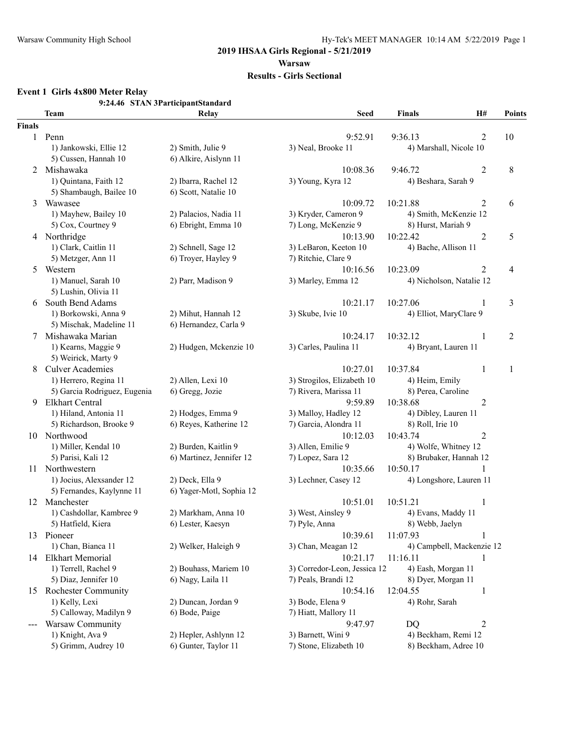# **2019 IHSAA Girls Regional - 5/21/2019**

# **Warsaw**

#### **Results - Girls Sectional**

#### **Event 1 Girls 4x800 Meter Relay**

**9:24.46 STAN 3ParticipantStandard**

|               | <b>Team</b>                  | $51$ A $\alpha$ $31$ at the particular density<br>Relay | <b>Seed</b>                  | <b>Finals</b>             | H#             | Points         |
|---------------|------------------------------|---------------------------------------------------------|------------------------------|---------------------------|----------------|----------------|
| <b>Finals</b> |                              |                                                         |                              |                           |                |                |
| $\mathbf{1}$  | Penn                         |                                                         | 9:52.91                      | 9:36.13                   | $\overline{c}$ | 10             |
|               | 1) Jankowski, Ellie 12       | 2) Smith, Julie 9                                       | 3) Neal, Brooke 11           | 4) Marshall, Nicole 10    |                |                |
|               | 5) Cussen, Hannah 10         | 6) Alkire, Aislynn 11                                   |                              |                           |                |                |
| 2             | Mishawaka                    |                                                         | 10:08.36                     | 9:46.72                   | 2              | 8              |
|               | 1) Quintana, Faith 12        | 2) Ibarra, Rachel 12                                    | 3) Young, Kyra 12            | 4) Beshara, Sarah 9       |                |                |
|               | 5) Shambaugh, Bailee 10      | 6) Scott, Natalie 10                                    |                              |                           |                |                |
| 3             | Wawasee                      |                                                         | 10:09.72                     | 10:21.88                  | 2              | 6              |
|               | 1) Mayhew, Bailey 10         | 2) Palacios, Nadia 11                                   | 3) Kryder, Cameron 9         | 4) Smith, McKenzie 12     |                |                |
|               | 5) Cox, Courtney 9           | 6) Ebright, Emma 10                                     | 7) Long, McKenzie 9          | 8) Hurst, Mariah 9        |                |                |
|               | 4 Northridge                 |                                                         | 10:13.90                     | 10:22.42                  | $\overline{c}$ | 5              |
|               | 1) Clark, Caitlin 11         | 2) Schnell, Sage 12                                     | 3) LeBaron, Keeton 10        | 4) Bache, Allison 11      |                |                |
|               | 5) Metzger, Ann 11           | 6) Troyer, Hayley 9                                     | 7) Ritchie, Clare 9          |                           |                |                |
| 5             | Western                      |                                                         | 10:16.56                     | 10:23.09                  | 2              | $\overline{4}$ |
|               | 1) Manuel, Sarah 10          | 2) Parr, Madison 9                                      | 3) Marley, Emma 12           | 4) Nicholson, Natalie 12  |                |                |
|               | 5) Lushin, Olivia 11         |                                                         |                              |                           |                |                |
| 6             | South Bend Adams             |                                                         | 10:21.17                     | 10:27.06                  | 1              | 3              |
|               | 1) Borkowski, Anna 9         | 2) Mihut, Hannah 12                                     | 3) Skube, Ivie 10            | 4) Elliot, MaryClare 9    |                |                |
|               | 5) Mischak, Madeline 11      | 6) Hernandez, Carla 9                                   |                              |                           |                |                |
| 7             | Mishawaka Marian             |                                                         | 10:24.17                     | 10:32.12                  | 1              | $\overline{2}$ |
|               | 1) Kearns, Maggie 9          | 2) Hudgen, Mckenzie 10                                  | 3) Carles, Paulina 11        | 4) Bryant, Lauren 11      |                |                |
|               | 5) Weirick, Marty 9          |                                                         |                              |                           |                |                |
| 8             | <b>Culver Academies</b>      |                                                         | 10:27.01                     | 10:37.84                  | 1              | 1              |
|               | 1) Herrero, Regina 11        | 2) Allen, Lexi 10                                       | 3) Strogilos, Elizabeth 10   | 4) Heim, Emily            |                |                |
|               | 5) Garcia Rodriguez, Eugenia | 6) Gregg, Jozie                                         | 7) Rivera, Marissa 11        | 8) Perea, Caroline        |                |                |
| 9             | Elkhart Central              |                                                         | 9:59.89                      | 10:38.68                  | 2              |                |
|               | 1) Hiland, Antonia 11        | 2) Hodges, Emma 9                                       | 3) Malloy, Hadley 12         | 4) Dibley, Lauren 11      |                |                |
|               | 5) Richardson, Brooke 9      | 6) Reyes, Katherine 12                                  | 7) Garcia, Alondra 11        | 8) Roll, Irie 10          |                |                |
|               | 10 Northwood                 |                                                         | 10:12.03                     | 10:43.74                  | 2              |                |
|               | 1) Miller, Kendal 10         | 2) Burden, Kaitlin 9                                    | 3) Allen, Emilie 9           | 4) Wolfe, Whitney 12      |                |                |
|               | 5) Parisi, Kali 12           | 6) Martinez, Jennifer 12                                | 7) Lopez, Sara 12            | 8) Brubaker, Hannah 12    |                |                |
|               | 11 Northwestern              |                                                         | 10:35.66                     | 10:50.17                  |                |                |
|               | 1) Jocius, Alexsander 12     | 2) Deck, Ella 9                                         | 3) Lechner, Casey 12         | 4) Longshore, Lauren 11   |                |                |
|               | 5) Fernandes, Kaylynne 11    | 6) Yager-Motl, Sophia 12                                |                              |                           |                |                |
|               | 12 Manchester                |                                                         | 10:51.01                     | 10:51.21                  | $\mathbf{1}$   |                |
|               | 1) Cashdollar, Kambree 9     | 2) Markham, Anna 10                                     | 3) West, Ainsley 9           | 4) Evans, Maddy 11        |                |                |
|               | 5) Hatfield, Kiera           | 6) Lester, Kaesyn                                       | 7) Pyle, Anna                | 8) Webb, Jaelyn           |                |                |
| 13            | Pioneer                      |                                                         | 10:39.61                     | 11:07.93                  | 1              |                |
|               | 1) Chan, Bianca 11           | 2) Welker, Haleigh 9                                    | 3) Chan, Meagan 12           | 4) Campbell, Mackenzie 12 |                |                |
| 14            | <b>Elkhart Memorial</b>      |                                                         | 10:21.17                     | 11:16.11                  |                |                |
|               | 1) Terrell, Rachel 9         | 2) Bouhass, Mariem 10                                   | 3) Corredor-Leon, Jessica 12 | 4) Eash, Morgan 11        |                |                |
|               | 5) Diaz, Jennifer 10         | 6) Nagy, Laila 11                                       | 7) Peals, Brandi 12          | 8) Dyer, Morgan 11        |                |                |
| 15            | <b>Rochester Community</b>   |                                                         | 10:54.16                     | 12:04.55                  | 1              |                |
|               | 1) Kelly, Lexi               | 2) Duncan, Jordan 9                                     | 3) Bode, Elena 9             | 4) Rohr, Sarah            |                |                |
|               | 5) Calloway, Madilyn 9       | 6) Bode, Paige                                          | 7) Hiatt, Mallory 11         |                           |                |                |
|               | Warsaw Community             |                                                         | 9:47.97                      | <b>DQ</b>                 | $\overline{2}$ |                |
|               | 1) Knight, Ava 9             | 2) Hepler, Ashlynn 12                                   | 3) Barnett, Wini 9           | 4) Beckham, Remi 12       |                |                |
|               | 5) Grimm, Audrey 10          | 6) Gunter, Taylor 11                                    | 7) Stone, Elizabeth 10       | 8) Beckham, Adree 10      |                |                |
|               |                              |                                                         |                              |                           |                |                |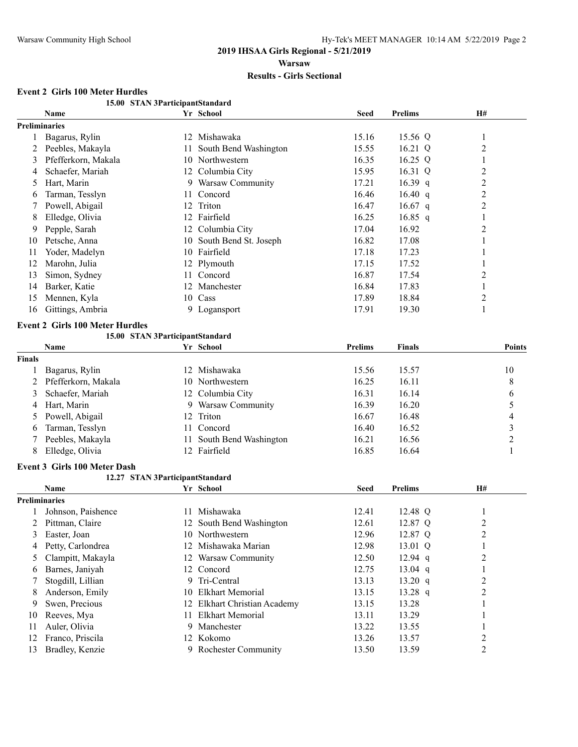#### **Event 2 Girls 100 Meter Hurdles**

|               | 15.00 STAN 3ParticipantStandard        |    |                              |                |                |                         |
|---------------|----------------------------------------|----|------------------------------|----------------|----------------|-------------------------|
|               | Name                                   |    | Yr School                    | <b>Seed</b>    | <b>Prelims</b> | H#                      |
|               | <b>Preliminaries</b>                   |    |                              |                |                |                         |
| 1             | Bagarus, Rylin                         |    | 12 Mishawaka                 | 15.16          | 15.56 Q        | 1                       |
| 2             | Peebles, Makayla                       | 11 | South Bend Washington        | 15.55          | 16.21 Q        | 2                       |
| 3             | Pfefferkorn, Makala                    |    | 10 Northwestern              | 16.35          | $16.25$ Q      | 1                       |
| 4             | Schaefer, Mariah                       |    | 12 Columbia City             | 15.95          | 16.31 Q        | $\overline{c}$          |
| 5             | Hart, Marin                            |    | 9 Warsaw Community           | 17.21          | 16.39 $q$      | $\overline{2}$          |
| 6             | Tarman, Tesslyn                        | 11 | Concord                      | 16.46          | 16.40 q        | $\overline{2}$          |
| 7             | Powell, Abigail                        | 12 | Triton                       | 16.47          | $16.67$ q      | $\overline{c}$          |
| 8             | Elledge, Olivia                        |    | 12 Fairfield                 | 16.25          | $16.85$ q      | 1                       |
| 9             | Pepple, Sarah                          |    | 12 Columbia City             | 17.04          | 16.92          | 2                       |
| 10            | Petsche, Anna                          | 10 | South Bend St. Joseph        | 16.82          | 17.08          | 1                       |
| 11            | Yoder, Madelyn                         |    | 10 Fairfield                 | 17.18          | 17.23          | 1                       |
| 12            | Marohn, Julia                          |    | 12 Plymouth                  | 17.15          | 17.52          | 1                       |
| 13            | Simon, Sydney                          | 11 | Concord                      | 16.87          | 17.54          | 2                       |
| 14            | Barker, Katie                          | 12 | Manchester                   | 16.84          | 17.83          | $\mathbf{1}$            |
| 15            | Mennen, Kyla                           | 10 | Cass                         | 17.89          | 18.84          | $\overline{2}$          |
| 16            | Gittings, Ambria                       |    | 9 Logansport                 | 17.91          | 19.30          | 1                       |
|               | <b>Event 2 Girls 100 Meter Hurdles</b> |    |                              |                |                |                         |
|               | 15.00 STAN 3ParticipantStandard        |    |                              |                |                |                         |
|               | Name                                   |    | Yr School                    | <b>Prelims</b> | Finals         | <b>Points</b>           |
| <b>Finals</b> |                                        |    |                              |                |                |                         |
|               | Bagarus, Rylin                         |    | 12 Mishawaka                 | 15.56          | 15.57          | 10                      |
| 2             | Pfefferkorn, Makala                    |    | 10 Northwestern              | 16.25          | 16.11          | 8                       |
| 3             | Schaefer, Mariah                       |    | 12 Columbia City             | 16.31          | 16.14          | 6                       |
| 4             | Hart, Marin                            |    | 9 Warsaw Community           | 16.39          | 16.20          | 5                       |
| 5             | Powell, Abigail                        | 12 | Triton                       | 16.67          | 16.48          | 4                       |
| 6             | Tarman, Tesslyn                        | 11 | Concord                      | 16.40          | 16.52          | $\overline{\mathbf{3}}$ |
|               | Peebles, Makayla                       | 11 | South Bend Washington        | 16.21          | 16.56          | $\overline{2}$          |
| 8             | Elledge, Olivia                        |    | 12 Fairfield                 | 16.85          | 16.64          | 1                       |
|               | <b>Event 3 Girls 100 Meter Dash</b>    |    |                              |                |                |                         |
|               | 12.27 STAN 3ParticipantStandard        |    |                              |                |                |                         |
|               | Name                                   |    | Yr School                    | <b>Seed</b>    | <b>Prelims</b> | H#                      |
|               | <b>Preliminaries</b>                   |    |                              |                |                |                         |
|               | Johnson, Paishence                     |    | 11 Mishawaka                 | 12.41          | 12.48 Q        | 1                       |
|               | 2 Pittman, Claire                      |    | 12 South Bend Washington     | 12.61          | 12.87 Q        | $\overline{c}$          |
| 3             | Easter, Joan                           |    | 10 Northwestern              | 12.96          | 12.87 Q        | 2                       |
| 4             | Petty, Carlondrea                      |    | 12 Mishawaka Marian          | 12.98          | 13.01 Q        | 1                       |
| 5             | Clampitt, Makayla                      |    | 12 Warsaw Community          | 12.50          | $12.94$ q      | $\overline{c}$          |
| 6             | Barnes, Janiyah                        |    | 12 Concord                   | 12.75          | $13.04$ q      | 1                       |
| 7             | Stogdill, Lillian                      |    | 9 Tri-Central                | 13.13          | 13.20 q        | $\overline{c}$          |
| 8             | Anderson, Emily                        | 10 | <b>Elkhart Memorial</b>      | 13.15          | $13.28$ q      | $\overline{c}$          |
| 9             | Swen, Precious                         |    | 12 Elkhart Christian Academy | 13.15          | 13.28          | 1                       |
| 10            | Reeves, Mya                            | 11 | <b>Elkhart Memorial</b>      | 13.11          | 13.29          | 1                       |
| 11            | Auler, Olivia                          |    | 9 Manchester                 | 13.22          | 13.55          | 1                       |
| 12            | Franco, Priscila                       |    | 12 Kokomo                    | 13.26          | 13.57          | $\overline{\mathbf{c}}$ |
| 13            | Bradley, Kenzie                        |    | 9 Rochester Community        | 13.50          | 13.59          | $\mathfrak{2}$          |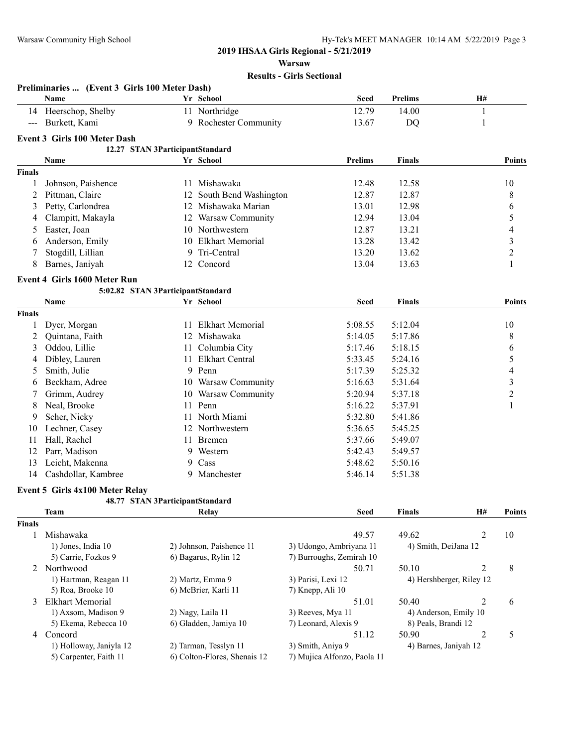**Preliminaries ... (Event 3 Girls 100 Meter Dash)**

### **2019 IHSAA Girls Regional - 5/21/2019**

**Warsaw**

#### **Results - Girls Sectional**

|                | Name                                |      | Yr School                    | <b>Seed</b>                 | <b>Prelims</b> | H#                       |                          |
|----------------|-------------------------------------|------|------------------------------|-----------------------------|----------------|--------------------------|--------------------------|
|                | 14 Heerschop, Shelby                |      | 11 Northridge                | 12.79                       | 14.00          | 1                        |                          |
| $---$          | Burkett, Kami                       |      | 9 Rochester Community        | 13.67                       | DQ             | 1                        |                          |
|                | Event 3 Girls 100 Meter Dash        |      |                              |                             |                |                          |                          |
|                | 12.27 STAN 3ParticipantStandard     |      |                              |                             |                |                          |                          |
|                | Name                                |      | Yr School                    | <b>Prelims</b>              | <b>Finals</b>  |                          | <b>Points</b>            |
| <b>Finals</b>  |                                     |      |                              |                             |                |                          |                          |
| 1              | Johnson, Paishence                  | 11.  | Mishawaka                    | 12.48                       | 12.58          |                          | 10                       |
| $\overline{2}$ | Pittman, Claire                     | 12   | South Bend Washington        | 12.87                       | 12.87          |                          | 8                        |
| 3              | Petty, Carlondrea                   |      | 12 Mishawaka Marian          | 13.01                       | 12.98          |                          | 6                        |
| 4              | Clampitt, Makayla                   |      | 12 Warsaw Community          | 12.94                       | 13.04          |                          | 5                        |
| 5              | Easter, Joan                        |      | 10 Northwestern              | 12.87                       | 13.21          |                          | $\overline{\mathcal{L}}$ |
| 6              | Anderson, Emily                     |      | 10 Elkhart Memorial          | 13.28                       | 13.42          |                          | $\mathfrak{Z}$           |
| 7              | Stogdill, Lillian                   | 9    | Tri-Central                  | 13.20                       | 13.62          |                          | $\overline{c}$           |
| 8              | Barnes, Janiyah                     |      | 12 Concord                   | 13.04                       | 13.63          |                          | 1                        |
|                |                                     |      |                              |                             |                |                          |                          |
|                | <b>Event 4 Girls 1600 Meter Run</b> |      |                              |                             |                |                          |                          |
|                | 5:02.82 STAN 3ParticipantStandard   |      |                              |                             |                |                          |                          |
|                | Name                                |      | Yr School                    | <b>Seed</b>                 | <b>Finals</b>  |                          | <b>Points</b>            |
| <b>Finals</b>  |                                     |      |                              |                             |                |                          |                          |
| 1              | Dyer, Morgan                        | 11   | <b>Elkhart Memorial</b>      | 5:08.55                     | 5:12.04        |                          | 10                       |
| 2              | Quintana, Faith                     |      | 12 Mishawaka                 | 5:14.05                     | 5:17.86        |                          | 8                        |
| 3              | Oddou, Lillie                       | 11   | Columbia City                | 5:17.46                     | 5:18.15        |                          | 6                        |
| 4              | Dibley, Lauren                      | 11   | Elkhart Central              | 5:33.45                     | 5:24.16        |                          | 5                        |
| 5              | Smith, Julie                        |      | 9 Penn                       | 5:17.39                     | 5:25.32        |                          | $\overline{4}$           |
| 6              | Beckham, Adree                      |      | 10 Warsaw Community          | 5:16.63                     | 5:31.64        |                          | $\mathfrak{Z}$           |
| 7              | Grimm, Audrey                       |      | 10 Warsaw Community          | 5:20.94                     | 5:37.18        |                          | $\overline{c}$           |
| 8              | Neal, Brooke                        |      | 11 Penn                      | 5:16.22                     | 5:37.91        |                          | 1                        |
| 9              | Scher, Nicky                        | 11 - | North Miami                  | 5:32.80                     | 5:41.86        |                          |                          |
| 10             | Lechner, Casey                      |      | 12 Northwestern              | 5:36.65                     | 5:45.25        |                          |                          |
| 11             | Hall, Rachel                        | 11-  | Bremen                       | 5:37.66                     | 5:49.07        |                          |                          |
| 12             | Parr, Madison                       |      | 9 Western                    | 5:42.43                     | 5:49.57        |                          |                          |
| 13             | Leicht, Makenna                     | 9.   | Cass                         | 5:48.62                     | 5:50.16        |                          |                          |
| 14             | Cashdollar, Kambree                 |      | 9 Manchester                 | 5:46.14                     | 5:51.38        |                          |                          |
|                | Event 5 Girls 4x100 Meter Relay     |      |                              |                             |                |                          |                          |
|                | 48.77 STAN 3ParticipantStandard     |      |                              |                             |                |                          |                          |
|                | <b>Team</b>                         |      | Relay                        | <b>Seed</b>                 | <b>Finals</b>  | H#                       | <b>Points</b>            |
| Finals         |                                     |      |                              |                             |                |                          |                          |
| 1              | Mishawaka                           |      |                              | 49.57                       | 49.62          | 2                        | 10                       |
|                | 1) Jones, India 10                  |      | 2) Johnson, Paishence 11     | 3) Udongo, Ambriyana 11     |                | 4) Smith, DeiJana 12     |                          |
|                | 5) Carrie, Fozkos 9                 |      | 6) Bagarus, Rylin 12         | 7) Burroughs, Zemirah 10    |                |                          |                          |
|                | 2 Northwood                         |      |                              | 50.71                       | 50.10          | 2                        | $\,8\,$                  |
|                | 1) Hartman, Reagan 11               |      | 2) Martz, Emma 9             | 3) Parisi, Lexi 12          |                | 4) Hershberger, Riley 12 |                          |
|                | 5) Roa, Brooke 10                   |      | 6) McBrier, Karli 11         | 7) Knepp, Ali 10            |                |                          |                          |
| 3              | <b>Elkhart Memorial</b>             |      |                              | 51.01                       | 50.40          | 2                        | 6                        |
|                | 1) Axsom, Madison 9                 |      | 2) Nagy, Laila 11            | 3) Reeves, Mya 11           |                | 4) Anderson, Emily 10    |                          |
|                | 5) Ekema, Rebecca 10                |      | 6) Gladden, Jamiya 10        | 7) Leonard, Alexis 9        |                | 8) Peals, Brandi 12      |                          |
| 4              | Concord                             |      |                              | 51.12                       | 50.90          | $\overline{c}$           | 5                        |
|                | 1) Holloway, Janiyla 12             |      | 2) Tarman, Tesslyn 11        | 3) Smith, Aniya 9           |                | 4) Barnes, Janiyah 12    |                          |
|                | 5) Carpenter, Faith 11              |      | 6) Colton-Flores, Shenais 12 | 7) Mujica Alfonzo, Paola 11 |                |                          |                          |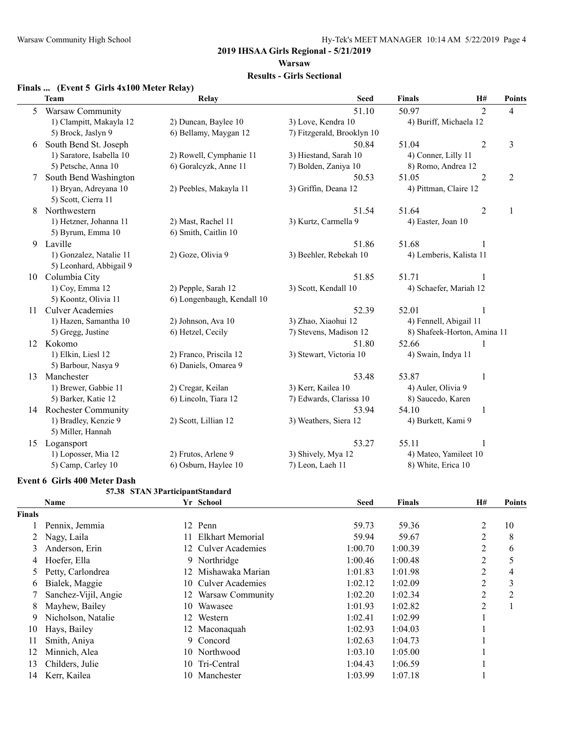#### **2019 IHSAA Girls Regional - 5/21/2019 Warsaw**

# **Results - Girls Sectional**

#### **Finals ... (Event 5 Girls 4x100 Meter Relay)**

|    | <b>Team</b>              | Relay                      | <b>Seed</b>                | <b>Finals</b>           | H#                          | <b>Points</b>           |
|----|--------------------------|----------------------------|----------------------------|-------------------------|-----------------------------|-------------------------|
| 5. | <b>Warsaw Community</b>  |                            | 51.10                      | 50.97                   | $\overline{2}$              | $\overline{4}$          |
|    | 1) Clampitt, Makayla 12  | 2) Duncan, Baylee 10       | 3) Love, Kendra 10         | 4) Buriff, Michaela 12  |                             |                         |
|    | 5) Brock, Jaslyn 9       | 6) Bellamy, Maygan 12      | 7) Fitzgerald, Brooklyn 10 |                         |                             |                         |
| 6  | South Bend St. Joseph    |                            | 50.84                      | 51.04                   | $\overline{c}$              | $\overline{\mathbf{3}}$ |
|    | 1) Saratore, Isabella 10 | 2) Rowell, Cymphanie 11    | 3) Hiestand, Sarah 10      | 4) Conner, Lilly 11     |                             |                         |
|    | 5) Petsche, Anna 10      | 6) Goralcyzk, Anne 11      | 7) Bolden, Zaniya 10       | 8) Romo, Andrea 12      |                             |                         |
| 7  | South Bend Washington    |                            | 50.53                      | 51.05                   | $\overline{2}$              | $\mathfrak{2}$          |
|    | 1) Bryan, Adreyana 10    | 2) Peebles, Makayla 11     | 3) Griffin, Deana 12       | 4) Pittman, Claire 12   |                             |                         |
|    | 5) Scott, Cierra 11      |                            |                            |                         |                             |                         |
| 8  | Northwestern             |                            | 51.54                      | 51.64                   | $\overline{2}$              | 1                       |
|    | 1) Hetzner, Johanna 11   | 2) Mast, Rachel 11         | 3) Kurtz, Carmella 9       | 4) Easter, Joan 10      |                             |                         |
|    | 5) Byrum, Emma 10        | 6) Smith, Caitlin 10       |                            |                         |                             |                         |
| 9  | Laville                  |                            | 51.86                      | 51.68                   | 1                           |                         |
|    | 1) Gonzalez, Natalie 11  | 2) Goze, Olivia 9          | 3) Beehler, Rebekah 10     | 4) Lemberis, Kalista 11 |                             |                         |
|    | 5) Leonhard, Abbigail 9  |                            |                            |                         |                             |                         |
| 10 | Columbia City            |                            | 51.85                      | 51.71                   |                             |                         |
|    | 1) Coy, Emma 12          | 2) Pepple, Sarah 12        | 3) Scott, Kendall 10       | 4) Schaefer, Mariah 12  |                             |                         |
|    | 5) Koontz, Olivia 11     | 6) Longenbaugh, Kendall 10 |                            |                         |                             |                         |
| 11 | <b>Culver Academies</b>  |                            | 52.39                      | 52.01                   | 1                           |                         |
|    | 1) Hazen, Samantha 10    | 2) Johnson, Ava 10         | 3) Zhao, Xiaohui 12        | 4) Fennell, Abigail 11  |                             |                         |
|    | 5) Gregg, Justine        | 6) Hetzel, Cecily          | 7) Stevens, Madison 12     |                         | 8) Shafeek-Horton, Amina 11 |                         |
|    | 12 Kokomo                |                            | 51.80                      | 52.66                   |                             |                         |
|    | 1) Elkin, Liesl 12       | 2) Franco, Priscila 12     | 3) Stewart, Victoria 10    | 4) Swain, Indya 11      |                             |                         |
|    | 5) Barbour, Nasya 9      | 6) Daniels, Omarea 9       |                            |                         |                             |                         |
| 13 | Manchester               |                            | 53.48                      | 53.87                   | 1                           |                         |
|    | 1) Brewer, Gabbie 11     | 2) Cregar, Keilan          | 3) Kerr, Kailea 10         | 4) Auler, Olivia 9      |                             |                         |
|    | 5) Barker, Katie 12      | 6) Lincoln, Tiara 12       | 7) Edwards, Clarissa 10    | 8) Saucedo, Karen       |                             |                         |
|    | 14 Rochester Community   |                            | 53.94                      | 54.10                   | 1                           |                         |
|    | 1) Bradley, Kenzie 9     | 2) Scott, Lillian 12       | 3) Weathers, Siera 12      | 4) Burkett, Kami 9      |                             |                         |
|    | 5) Miller, Hannah        |                            |                            |                         |                             |                         |
|    | 15 Logansport            |                            | 53.27                      | 55.11                   | 1                           |                         |
|    | 1) Loposser, Mia 12      | 2) Frutos, Arlene 9        | 3) Shively, Mya 12         | 4) Mateo, Yamileet 10   |                             |                         |
|    | 5) Camp, Carley 10       | 6) Osburn, Haylee 10       | 7) Leon, Laeh 11           | 8) White, Erica 10      |                             |                         |

#### **Event 6 Girls 400 Meter Dash**

#### **57.38 STAN 3ParticipantStandard**

|        | <b>Name</b>          |     | Yr School           | Seed    | <b>Finals</b> | H#             | <b>Points</b> |
|--------|----------------------|-----|---------------------|---------|---------------|----------------|---------------|
| Finals |                      |     |                     |         |               |                |               |
|        | Pennix, Jemmia       |     | 12 Penn             | 59.73   | 59.36         | 2              | 10            |
|        | Nagy, Laila          | 11. | Elkhart Memorial    | 59.94   | 59.67         | $\overline{2}$ | 8             |
| 3      | Anderson, Erin       |     | 12 Culver Academies | 1:00.70 | 1:00.39       | 2              | 6             |
| 4      | Hoefer, Ella         |     | 9 Northridge        | 1:00.46 | 1:00.48       | 2              | 5             |
| 5      | Petty, Carlondrea    | 12. | Mishawaka Marian    | 1:01.83 | 1:01.98       | 2              | 4             |
| 6      | Bialek, Maggie       |     | 10 Culver Academies | 1:02.12 | 1:02.09       | 2              | 3             |
|        | Sanchez-Vijil, Angie | 12  | Warsaw Community    | 1:02.20 | 1:02.34       | 2              | 2             |
| 8      | Mayhew, Bailey       | 10  | Wawasee             | 1:01.93 | 1:02.82       | $\overline{2}$ |               |
| 9      | Nicholson, Natalie   | 12  | Western             | 1:02.41 | 1:02.99       |                |               |
| 10     | Hays, Bailey         |     | 12 Maconaguah       | 1:02.93 | 1:04.03       |                |               |
| 11     | Smith, Aniya         | 9   | Concord             | 1:02.63 | 1:04.73       |                |               |
| 12     | Minnich, Alea        |     | 10 Northwood        | 1:03.10 | 1:05.00       |                |               |
| 13     | Childers, Julie      | 10  | Tri-Central         | 1:04.43 | 1:06.59       |                |               |
| 14     | Kerr, Kailea         | 10  | Manchester          | 1:03.99 | 1:07.18       |                |               |
|        |                      |     |                     |         |               |                |               |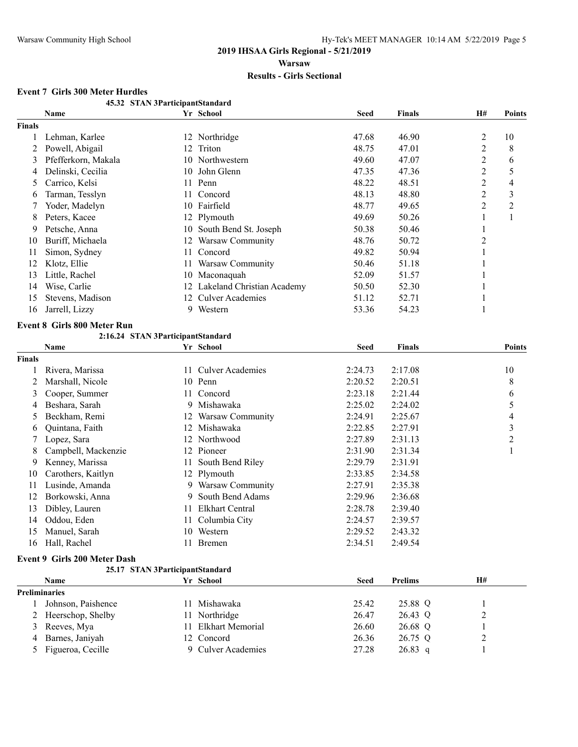#### **45.32 STAN 3ParticipantStandard Name Yr School Seed Finals H# Points Finals** 1 Lehman, Karlee 12 Northridge 47.68 46.90 2 10 2 Powell, Abigail 12 Triton 12 Triton 12 A8.75 47.01 2 8 3 Pfefferkorn, Makala 10 Northwestern 49.60 47.07 2 6 4 Delinski, Cecilia 10 John Glenn 47.35 47.36 2 5 5 Carrico, Kelsi 11 Penn 48.22 48.51 2 4 6 Tarman, Tesslyn 11 Concord 48.13 48.80 2 3 7 Yoder, Madelyn 10 Fairfield 48.77 49.65 2 2 8 Peters, Kacee 12 Plymouth 12 Plymouth 49.69 50.26 1 1 9 Petsche, Anna 10 South Bend St. Joseph 50.38 50.46 1 10 Buriff, Michaela 12 Warsaw Community 48.76 50.72 2 11 Simon, Sydney 11 Concord 49.82 50.94 1 12 Klotz, Ellie 11 Warsaw Community 50.46 51.18 1 13 Little, Rachel 10 Maconaquah 52.09 51.57 1 14 Wise, Carlie 12 Lakeland Christian Academy 50.50 52.30 1 15 Stevens, Madison 12 Culver Academies 51.12 52.71 1 16 Jarrell, Lizzy 9 Western 53.36 54.23 1 **Event 8 Girls 800 Meter Run 2:16.24 STAN 3ParticipantStandard Name Yr School Seed Finals Points Finals** 1 Rivera, Marissa 11 Culver Academies 2:24.73 2:17.08 10 2 Marshall, Nicole 10 Penn 2:20.52 2:20.51 8 3 Cooper, Summer 11 Concord 2:23.18 2:21.44 6 4 Beshara, Sarah 9 Mishawaka 2:25.02 2:24.02 5 5 Beckham, Remi 12 Warsaw Community 2:24.91 2:25.67 4 6 Quintana, Faith 12 Mishawaka 2:22.85 2:27.91 3 7 Lopez, Sara 12 Northwood 2:27.89 2:31.13 2 8 Campbell, Mackenzie 12 Pioneer 2:31.90 2:31.34 1 9 Kenney, Marissa 11 South Bend Riley 2:29.79 2:31.91 10 Carothers, Kaitlyn 12 Plymouth 2:33.85 2:34.58 11 Lusinde, Amanda 9 Warsaw Community 2:27.91 2:35.38 12 Borkowski, Anna 9 South Bend Adams 2:29.96 2:36.68 13 Dibley, Lauren 11 Elkhart Central 2:28.78 2:39.40 14 Oddou, Eden 11 Columbia City 2:24.57 2:39.57 15 Manuel, Sarah 10 Western 2:29.52 2:43.32 16 Hall, Rachel 11 Bremen 2:34.51 2:49.54 **Event 9 Girls 200 Meter Dash 25.17 STAN 3ParticipantStandard Name Yr School Seed Prelims H# Preliminaries** 1 Johnson, Paishence 11 Mishawaka 25.42 25.88 Q 1 2 Heerschop, Shelby 11 Northridge 26.47 26.43 Q 2

3 Reeves, Mya 11 Elkhart Memorial 26.60 26.68 Q 1 4 Barnes, Janiyah 12 Concord 26.36 26.75 Q 2 5 Figueroa, Cecille 9 Culver Academies 27.28 26.83 q 1

#### **Event 7 Girls 300 Meter Hurdles**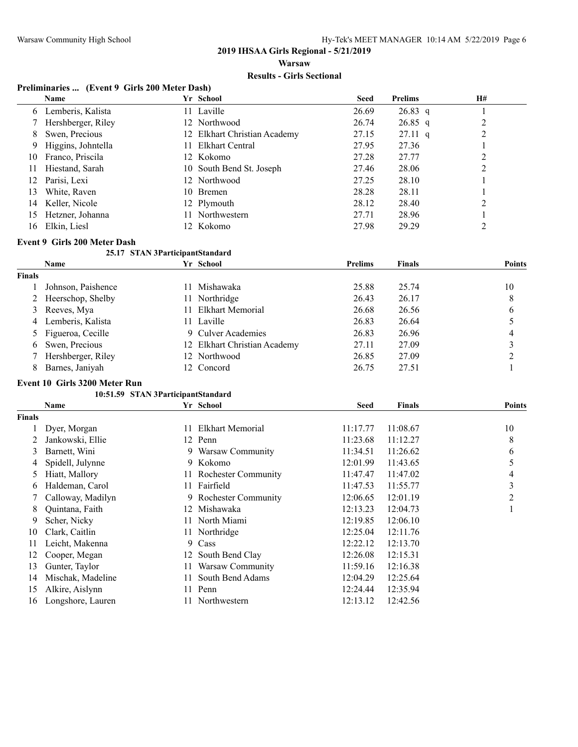## **2019 IHSAA Girls Regional - 5/21/2019**

**Warsaw**

#### **Results - Girls Sectional**

#### **Preliminaries ... (Event 9 Girls 200 Meter Dash)**

|     | Name               | Yr School                    | <b>Seed</b> | <b>Prelims</b>    | H# |
|-----|--------------------|------------------------------|-------------|-------------------|----|
| 6   | Lemberis, Kalista  | 11 Laville                   | 26.69       | $26.83$ q         |    |
|     | Hershberger, Riley | 12 Northwood                 | 26.74       | $26.85$ q         |    |
| 8   | Swen, Precious     | 12 Elkhart Christian Academy | 27.15       | $27.11 \text{ q}$ | 2  |
| 9.  | Higgins, Johntella | 11 Elkhart Central           | 27.95       | 27.36             |    |
| 10  | Franco, Priscila   | 12 Kokomo                    | 27.28       | 27.77             |    |
| 11  | Hiestand, Sarah    | 10 South Bend St. Joseph     | 27.46       | 28.06             | 2  |
| 12  | Parisi, Lexi       | 12 Northwood                 | 27.25       | 28.10             |    |
| 13. | White, Raven       | 10 Bremen                    | 28.28       | 28.11             |    |
| 14  | Keller, Nicole     | 12 Plymouth                  | 28.12       | 28.40             | 2  |
| 15  | Hetzner, Johanna   | 11 Northwestern              | 27.71       | 28.96             |    |
| 16. | Elkin, Liesl       | 12 Kokomo                    | 27.98       | 29.29             |    |

#### **Event 9 Girls 200 Meter Dash**

#### **25.17 STAN 3ParticipantStandard**

| <b>Name</b>          |     |                  | <b>Prelims</b>                                                                                                            | <b>Finals</b> | <b>Points</b> |
|----------------------|-----|------------------|---------------------------------------------------------------------------------------------------------------------------|---------------|---------------|
|                      |     |                  |                                                                                                                           |               |               |
| Johnson, Paishence   |     | Mishawaka        | 25.88                                                                                                                     | 25.74         | 10            |
| 2 Heerschop, Shelby  |     | Northridge       | 26.43                                                                                                                     | 26.17         | 8             |
| 3 Reeves, Mya        | 11. | Elkhart Memorial | 26.68                                                                                                                     | 26.56         |               |
| 4 Lemberis, Kalista  |     |                  | 26.83                                                                                                                     | 26.64         |               |
| 5 Figueroa, Cecille  |     |                  | 26.83                                                                                                                     | 26.96         | 4             |
| 6 Swen, Precious     |     |                  | 27.11                                                                                                                     | 27.09         |               |
| 7 Hershberger, Riley |     |                  | 26.85                                                                                                                     | 27.09         |               |
| Barnes, Janiyah      |     |                  | 26.75                                                                                                                     | 27.51         |               |
|                      |     |                  | Yr School<br>11.<br>11.<br>11 Laville<br>9 Culver Academies<br>12 Elkhart Christian Academy<br>12 Northwood<br>12 Concord |               |               |

#### **Event 10 Girls 3200 Meter Run**

#### **10:51.59 STAN 3ParticipantStandard**

|               | Name              |     | Yr School              | <b>Seed</b> | <b>Finals</b> | <b>Points</b>  |
|---------------|-------------------|-----|------------------------|-------------|---------------|----------------|
| <b>Finals</b> |                   |     |                        |             |               |                |
|               | Dyer, Morgan      | 11. | Elkhart Memorial       | 11:17.77    | 11:08.67      | 10             |
|               | Jankowski, Ellie  |     | 12 Penn                | 11:23.68    | 11:12.27      | 8              |
| 3             | Barnett, Wini     | 9.  | Warsaw Community       | 11:34.51    | 11:26.62      | 6              |
| 4             | Spidell, Julynne  | 9.  | Kokomo                 | 12:01.99    | 11:43.65      | 5              |
| 5             | Hiatt, Mallory    |     | 11 Rochester Community | 11:47.47    | 11:47.02      | 4              |
| 6             | Haldeman, Carol   | 11. | Fairfield              | 11:47.53    | 11:55.77      | 3              |
|               | Calloway, Madilyn |     | 9 Rochester Community  | 12:06.65    | 12:01.19      | $\overline{2}$ |
| 8             | Quintana, Faith   | 12  | Mishawaka              | 12:13.23    | 12:04.73      |                |
| 9             | Scher, Nicky      | 11  | North Miami            | 12:19.85    | 12:06.10      |                |
| 10            | Clark, Caitlin    |     | 11 Northridge          | 12:25.04    | 12:11.76      |                |
| 11            | Leicht, Makenna   | 9   | Cass                   | 12:22.12    | 12:13.70      |                |
| 12            | Cooper, Megan     | 12  | South Bend Clay        | 12:26.08    | 12:15.31      |                |
| 13            | Gunter, Taylor    | 11  | Warsaw Community       | 11:59.16    | 12:16.38      |                |
| 14            | Mischak, Madeline | 11. | South Bend Adams       | 12:04.29    | 12:25.64      |                |
| 15            | Alkire, Aislynn   |     | 11 Penn                | 12:24.44    | 12:35.94      |                |
| 16            | Longshore, Lauren |     | Northwestern           | 12:13.12    | 12:42.56      |                |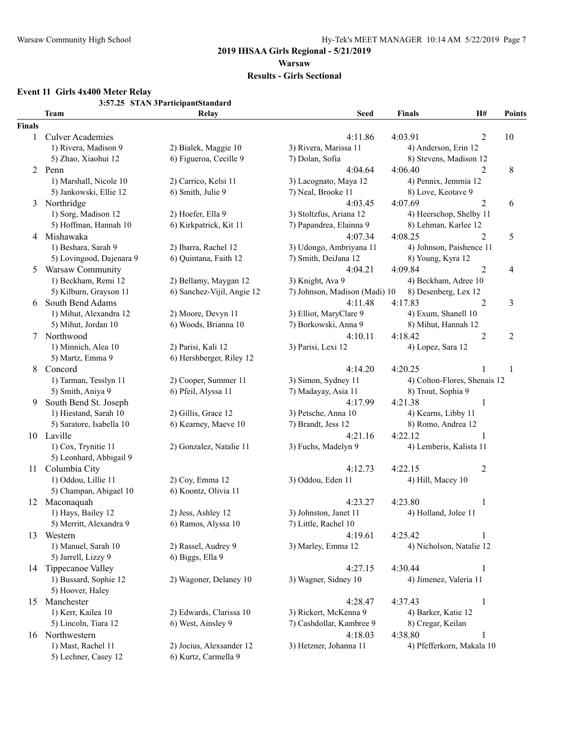#### **2019 IHSAA Girls Regional - 5/21/2019 Warsaw**

#### **Results - Girls Sectional**

## **Event 11 Girls 4x400 Meter Relay**

**3:57.25 STAN 3ParticipantStandard**

|               | <b>Team</b>              | Relay                      | <b>Seed</b>                   | <b>Finals</b>            | H#                           | <b>Points</b> |
|---------------|--------------------------|----------------------------|-------------------------------|--------------------------|------------------------------|---------------|
| <b>Finals</b> |                          |                            |                               |                          |                              |               |
| 1             | <b>Culver Academies</b>  |                            | 4:11.86                       | 4:03.91                  | 2                            | 10            |
|               | 1) Rivera, Madison 9     | 2) Bialek, Maggie 10       | 3) Rivera, Marissa 11         | 4) Anderson, Erin 12     |                              |               |
|               | 5) Zhao, Xiaohui 12      | 6) Figueroa, Cecille 9     | 7) Dolan, Sofia               | 8) Stevens, Madison 12   |                              |               |
|               | 2 Penn                   |                            | 4:04.64                       | 4:06.40                  | $\overline{2}$               | 8             |
|               | 1) Marshall, Nicole 10   | 2) Carrico, Kelsi 11       | 3) Lacognato, Maya 12         | 4) Pennix, Jemmia 12     |                              |               |
|               | 5) Jankowski, Ellie 12   | 6) Smith, Julie 9          | 7) Neal, Brooke 11            | 8) Love, Keotave 9       |                              |               |
| 3             | Northridge               |                            | 4:03.45                       | 4:07.69                  | $\overline{2}$               | 6             |
|               | 1) Sorg, Madison 12      | 2) Hoefer, Ella 9          | 3) Stoltzfus, Ariana 12       | 4) Heerschop, Shelby 11  |                              |               |
|               | 5) Hoffman, Hannah 10    | 6) Kirkpatrick, Kit 11     | 7) Papandrea, Elainna 9       | 8) Lehman, Karlee 12     |                              |               |
|               | 4 Mishawaka              |                            | 4:07.34                       | 4:08.25                  | $\overline{2}$               | 5             |
|               | 1) Beshara, Sarah 9      | 2) Ibarra, Rachel 12       | 3) Udongo, Ambriyana 11       | 4) Johnson, Paishence 11 |                              |               |
|               | 5) Lovingood, Dajenara 9 | 6) Quintana, Faith 12      | 7) Smith, DeiJana 12          | 8) Young, Kyra 12        |                              |               |
| 5             | Warsaw Community         |                            | 4:04.21                       | 4:09.84                  | $\overline{c}$               | 4             |
|               | 1) Beckham, Remi 12      | 2) Bellamy, Maygan 12      | 3) Knight, Ava 9              | 4) Beckham, Adree 10     |                              |               |
|               | 5) Kilburn, Grayson 11   | 6) Sanchez-Vijil, Angie 12 | 7) Johnson, Madison (Madi) 10 | 8) Desenberg, Lex 12     |                              |               |
| 6             | South Bend Adams         |                            | 4:11.48                       | 4:17.83                  | $\overline{2}$               | 3             |
|               | 1) Mihut, Alexandra 12   | 2) Moore, Devyn 11         | 3) Elliot, MaryClare 9        | 4) Exum, Shanell 10      |                              |               |
|               | 5) Mihut, Jordan 10      | 6) Woods, Brianna 10       | 7) Borkowski, Anna 9          | 8) Mihut, Hannah 12      |                              |               |
| 7             | Northwood                |                            | 4:10.11                       | 4:18.42                  | $\overline{c}$               | 2             |
|               | 1) Minnich, Alea 10      | 2) Parisi, Kali 12         | 3) Parisi, Lexi 12            | 4) Lopez, Sara 12        |                              |               |
|               | 5) Martz, Emma 9         | 6) Hershberger, Riley 12   |                               |                          |                              |               |
| 8             | Concord                  |                            | 4:14.20                       | 4:20.25                  |                              | 1             |
|               | 1) Tarman, Tesslyn 11    | 2) Cooper, Summer 11       | 3) Simon, Sydney 11           |                          | 4) Colton-Flores, Shenais 12 |               |
|               | 5) Smith, Aniya 9        | 6) Pfeil, Alyssa 11        | 7) Madayay, Asia 11           | 8) Trout, Sophia 9       |                              |               |
| 9             | South Bend St. Joseph    |                            | 4:17.99                       | 4:21.38                  | $\mathbf{1}$                 |               |
|               | 1) Hiestand, Sarah 10    | 2) Gillis, Grace 12        | 3) Petsche, Anna 10           | 4) Kearns, Libby 11      |                              |               |
|               | 5) Saratore, Isabella 10 | 6) Kearney, Maeve 10       | 7) Brandt, Jess 12            | 8) Romo, Andrea 12       |                              |               |
|               | 10 Laville               |                            | 4:21.16                       | 4:22.12                  | 1                            |               |
|               | 1) Cox, Trynitie 11      | 2) Gonzalez, Natalie 11    | 3) Fuchs, Madelyn 9           | 4) Lemberis, Kalista 11  |                              |               |
|               | 5) Leonhard, Abbigail 9  |                            |                               |                          |                              |               |
| 11            | Columbia City            |                            | 4:12.73                       | 4:22.15                  | $\overline{c}$               |               |
|               | 1) Oddou, Lillie 11      | 2) Coy, Emma 12            | 3) Oddou, Eden 11             | 4) Hill, Macey 10        |                              |               |
|               | 5) Champan, Abigael 10   | 6) Koontz, Olivia 11       |                               |                          |                              |               |
|               | 12 Maconaquah            |                            | 4:23.27                       | 4:23.80                  | 1                            |               |
|               | 1) Hays, Bailey 12       | 2) Jess, Ashley 12         | 3) Johnston, Janet 11         | 4) Holland, Jolee 11     |                              |               |
|               | 5) Merritt, Alexandra 9  | 6) Ramos, Alyssa 10        | 7) Little, Rachel 10          |                          |                              |               |
| 13            | Western                  |                            | 4:19.61                       | 4:25.42                  |                              |               |
|               | 1) Manuel, Sarah 10      | 2) Rassel, Audrey 9        | 3) Marley, Emma 12            | 4) Nicholson, Natalie 12 |                              |               |
|               | 5) Jarrell, Lizzy 9      | 6) Biggs, Ella 9           |                               |                          |                              |               |
| 14            | Tippecanoe Valley        |                            | 4:27.15                       | 4:30.44                  | 1                            |               |
|               | 1) Bussard, Sophie 12    | 2) Wagoner, Delaney 10     | 3) Wagner, Sidney 10          | 4) Jimenez, Valeria 11   |                              |               |
|               | 5) Hoover, Haley         |                            |                               |                          |                              |               |
| 15            | Manchester               |                            | 4:28.47                       | 4:37.43                  | 1                            |               |
|               | 1) Kerr, Kailea 10       | 2) Edwards, Clarissa 10    | 3) Rickert, McKenna 9         | 4) Barker, Katie 12      |                              |               |
|               | 5) Lincoln, Tiara 12     | 6) West, Ainsley 9         | 7) Cashdollar, Kambree 9      | 8) Cregar, Keilan        |                              |               |
|               | 16 Northwestern          |                            | 4:18.03                       | 4:38.80                  | 1                            |               |
|               | 1) Mast, Rachel 11       | 2) Jocius, Alexsander 12   | 3) Hetzner, Johanna 11        |                          | 4) Pfefferkorn, Makala 10    |               |
|               | 5) Lechner, Casey 12     | 6) Kurtz, Carmella 9       |                               |                          |                              |               |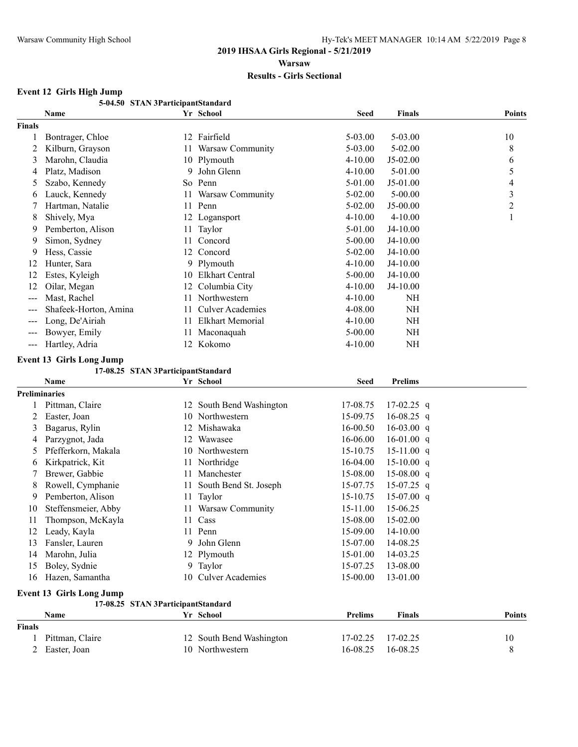# **Event 12 Girls High Jump**

|                      | 5-04.50 STAN 3ParticipantStandard  |    |                          |             |                |                |
|----------------------|------------------------------------|----|--------------------------|-------------|----------------|----------------|
|                      | Name                               |    | Yr School                | Seed        | <b>Finals</b>  | <b>Points</b>  |
| <b>Finals</b>        |                                    |    |                          |             |                |                |
| 1                    | Bontrager, Chloe                   |    | 12 Fairfield             | 5-03.00     | $5 - 03.00$    | 10             |
| 2                    | Kilburn, Grayson                   | 11 | Warsaw Community         | 5-03.00     | 5-02.00        | 8              |
| 3                    | Marohn, Claudia                    |    | 10 Plymouth              | $4 - 10.00$ | $J5-02.00$     | 6              |
| 4                    | Platz, Madison                     | 9  | John Glenn               | $4 - 10.00$ | 5-01.00        | 5              |
| 5                    | Szabo, Kennedy                     |    | So Penn                  | 5-01.00     | J5-01.00       | 4              |
| 6                    | Lauck, Kennedy                     | 11 | Warsaw Community         | 5-02.00     | $5 - 00.00$    | $\mathfrak{Z}$ |
| 7                    | Hartman, Natalie                   | 11 | Penn                     | 5-02.00     | $J5-00.00$     | $\overline{c}$ |
| 8                    | Shively, Mya<br>Pemberton, Alison  |    | 12 Logansport            | $4 - 10.00$ | $4 - 10.00$    | $\mathbf{1}$   |
| 9                    |                                    | 11 | Taylor                   | 5-01.00     | $J4-10.00$     |                |
| 9                    | Simon, Sydney                      | 11 | Concord                  | 5-00.00     | J4-10.00       |                |
| 9                    | Hess, Cassie                       | 12 | Concord                  | 5-02.00     | J4-10.00       |                |
| 12                   | Hunter, Sara                       | 9  | Plymouth                 | $4 - 10.00$ | $J4-10.00$     |                |
| 12                   | Estes, Kyleigh                     | 10 | Elkhart Central          | $5 - 00.00$ | J4-10.00       |                |
| 12                   | Oilar, Megan                       | 12 | Columbia City            | 4-10.00     | J4-10.00       |                |
| $---$                | Mast, Rachel                       | 11 | Northwestern             | 4-10.00     | NH             |                |
|                      | Shafeek-Horton, Amina              | 11 | <b>Culver Academies</b>  | 4-08.00     | NH             |                |
|                      | Long, De'Airiah                    | 11 | <b>Elkhart Memorial</b>  | $4 - 10.00$ | NH             |                |
| ---                  | Bowyer, Emily                      | 11 | Maconaquah               | $5 - 00.00$ | NH             |                |
| $---$                | Hartley, Adria                     |    | 12 Kokomo                | 4-10.00     | NH             |                |
|                      | <b>Event 13 Girls Long Jump</b>    |    |                          |             |                |                |
|                      | 17-08.25 STAN 3ParticipantStandard |    |                          |             |                |                |
|                      | Name                               |    | Yr School                | <b>Seed</b> | <b>Prelims</b> |                |
| <b>Preliminaries</b> |                                    |    |                          |             |                |                |
| 1                    | Pittman, Claire                    |    | 12 South Bend Washington | 17-08.75    | $17-02.25$ q   |                |
| 2                    | Easter, Joan                       | 10 | Northwestern             | 15-09.75    | $16-08.25$ q   |                |
| 3                    | Bagarus, Rylin                     | 12 | Mishawaka                | 16-00.50    | $16-03.00$ q   |                |
| 4                    | Parzygnot, Jada                    | 12 | Wawasee                  | 16-06.00    | $16-01.00$ q   |                |
| 5                    | Pfefferkorn, Makala                | 10 | Northwestern             | 15-10.75    | $15-11.00$ q   |                |
| 6                    | Kirkpatrick, Kit                   | 11 | Northridge               | 16-04.00    | $15-10.00$ q   |                |
| 7                    | Brewer, Gabbie                     | 11 | Manchester               | 15-08.00    | $15-08.00$ q   |                |
| 8                    | Rowell, Cymphanie                  | 11 | South Bend St. Joseph    | 15-07.75    | $15-07.25$ q   |                |
| 9                    | Pemberton, Alison                  | 11 | Taylor                   | 15-10.75    | $15-07.00$ q   |                |
| 10                   | Steffensmeier, Abby                |    | 11 Warsaw Community      | 15-11.00    | 15-06.25       |                |
| $\pm$                | Thompson, McKayla                  |    | 11 Cass                  | 15-08.00    | 15-02.00       |                |
| 12                   | Leady, Kayla                       |    | 11 Penn                  | 15-09.00    | 14-10.00       |                |
| 13                   | Fansler, Lauren                    | 9. | John Glenn               | 15-07.00    | 14-08.25       |                |
| 14                   | Marohn, Julia                      |    | 12 Plymouth              | 15-01.00    | 14-03.25       |                |
| 15                   | Boley, Sydnie                      | 9  | Taylor                   | 15-07.25    | 13-08.00       |                |
| 16                   | Hazen, Samantha                    | 10 | <b>Culver Academies</b>  | 15-00.00    | 13-01.00       |                |
|                      |                                    |    |                          |             |                |                |
|                      | <b>Event 13 Girls Long Jump</b>    |    |                          |             |                |                |
|                      | 17-08.25 STAN 3ParticipantStandard |    |                          |             |                |                |
|                      | Name                               |    | Yr School                | Prelims     | <b>Finals</b>  | <b>Points</b>  |
| <b>Finals</b>        |                                    |    |                          |             |                |                |
| 1                    | Pittman, Claire                    |    | 12 South Bend Washington | 17-02.25    | 17-02.25       | 10             |
| 2                    | Easter, Joan                       |    | 10 Northwestern          | 16-08.25    | 16-08.25       | 8              |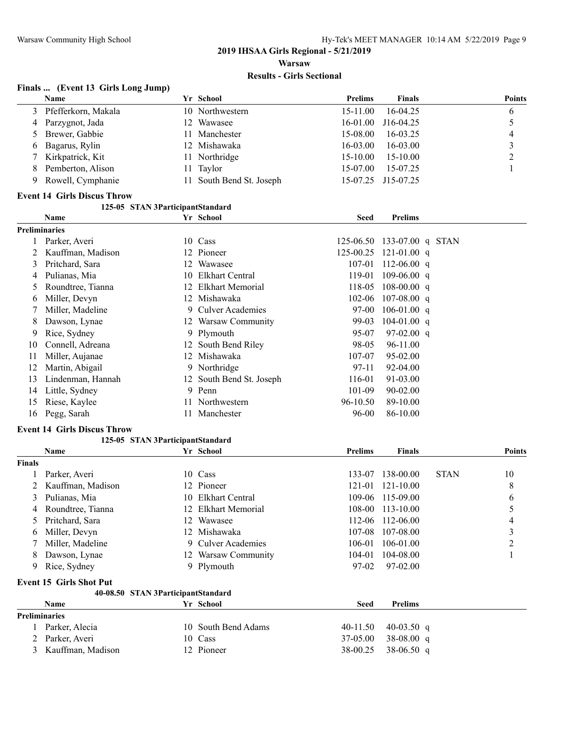#### **Finals ... (Event 13 Girls Long Jump)**

|    | <b>Name</b>           | Yr School                | <b>Prelims</b> | <b>Finals</b>      | <b>Points</b> |
|----|-----------------------|--------------------------|----------------|--------------------|---------------|
|    | 3 Pfefferkorn, Makala | 10 Northwestern          | $15-11.00$     | $16-04.25$         |               |
|    | 4 Parzygnot, Jada     | 12 Wawasee               | 16-01.00       | $J16-04.25$        |               |
|    | 5 Brewer, Gabbie      | 11 Manchester            | 15-08.00       | 16-03.25           | 4             |
|    | 6 Bagarus, Rylin      | 12 Mishawaka             | $16-03.00$     | $16 - 03.00$       |               |
|    | 7 Kirkpatrick, Kit    | 11 Northridge            | $15 - 10.00$   | $15 - 10.00$       |               |
|    | 8 Pemberton, Alison   | 11 Taylor                | $15-07.00$     | 15-07.25           |               |
| 9. | Rowell, Cymphanie     | 11 South Bend St. Joseph |                | 15-07.25 J15-07.25 |               |

#### **Event 14 Girls Discus Throw**

#### **125-05 STAN 3ParticipantStandard**

|                      | <b>Name</b>       |    | Yr School                | <b>Seed</b> | <b>Prelims</b>   |  |
|----------------------|-------------------|----|--------------------------|-------------|------------------|--|
| <b>Preliminaries</b> |                   |    |                          |             |                  |  |
|                      | Parker, Averi     | 10 | Cass                     | 125-06.50   | 133-07.00 g STAN |  |
|                      | Kauffman, Madison |    | 12 Pioneer               | 125-00.25   | $121 - 01.00$ q  |  |
| 3                    | Pritchard, Sara   |    | 12 Wawasee               | 107-01      | 112-06.00 q      |  |
| 4                    | Pulianas, Mia     |    | 10 Elkhart Central       | 119-01      | $109 - 06.00$ q  |  |
| 5                    | Roundtree, Tianna |    | 12 Elkhart Memorial      | 118-05      | $108-00.00$ q    |  |
| 6                    | Miller, Devyn     |    | 12 Mishawaka             | 102-06      | $107 - 08.00$ q  |  |
|                      | Miller, Madeline  | 9. | Culver Academies         | 97-00       | $106-01.00$ q    |  |
| 8                    | Dawson, Lynae     |    | 12 Warsaw Community      | 99-03       | $104 - 01.00$ q  |  |
| 9                    | Rice, Sydney      |    | 9 Plymouth               | 95-07       | $97-02.00$ q     |  |
| 10                   | Connell, Adreana  |    | 12 South Bend Riley      | 98-05       | 96-11.00         |  |
| 11                   | Miller, Aujanae   | 12 | Mishawaka                | 107-07      | 95-02.00         |  |
| 12                   | Martin, Abigail   |    | 9 Northridge             | 97-11       | 92-04.00         |  |
| 13                   | Lindenman, Hannah |    | 12 South Bend St. Joseph | 116-01      | 91-03.00         |  |
| 14                   | Little, Sydney    |    | 9 Penn                   | 101-09      | $90 - 02.00$     |  |
| 15                   | Riese, Kaylee     |    | 11 Northwestern          | 96-10.50    | 89-10.00         |  |
| 16                   | Pegg, Sarah       |    | Manchester               | 96-00       | 86-10.00         |  |

#### **Event 14 Girls Discus Throw**

#### **125-05 STAN 3ParticipantStandard**

|               | Name                           |     | Yr School           | <b>Prelims</b> | <b>Finals</b>    |             | <b>Points</b> |
|---------------|--------------------------------|-----|---------------------|----------------|------------------|-------------|---------------|
| <b>Finals</b> |                                |     |                     |                |                  |             |               |
|               | Parker, Averi                  |     | 10 Cass             | 133-07         | 138-00.00        | <b>STAN</b> | 10            |
|               | 2 Kauffman, Madison            |     | 12 Pioneer          |                | 121-01 121-10.00 |             | 8             |
|               | 3 Pulianas, Mia                | 10. | Elkhart Central     |                | 109-06 115-09.00 |             | 6             |
|               | 4 Roundtree, Tianna            |     | 12 Elkhart Memorial |                | 108-00 113-10.00 |             |               |
|               | 5 Pritchard, Sara              |     | 12 Wawasee          |                | 112-06 112-06.00 |             | 4             |
| 6             | Miller, Devyn                  |     | 12 Mishawaka        |                | 107-08 107-08.00 |             |               |
|               | 7 Miller, Madeline             |     | 9 Culver Academies  | 106-01         | 106-01.00        |             | ↑             |
| 8             | Dawson, Lynae                  |     | 12 Warsaw Community | 104-01         | 104-08.00        |             |               |
|               | 9 Rice, Sydney                 |     | 9 Plymouth          | 97-02          | 97-02.00         |             |               |
|               | <b>Event 15 Girls Shot Put</b> |     |                     |                |                  |             |               |

#### **40-08.50 STAN 3ParticipantStandard**

|                      | Name                |  | Yr School           | Seed | <b>Prelims</b>          |
|----------------------|---------------------|--|---------------------|------|-------------------------|
| <b>Preliminaries</b> |                     |  |                     |      |                         |
|                      | Parker, Alecia      |  | 10 South Bend Adams |      | 40-11.50 40-03.50 q     |
|                      | 2 Parker, Averi     |  | 10 Cass             |      | $37-05.00$ $38-08.00$ q |
|                      | 3 Kauffman, Madison |  | 12 Pioneer          |      | $38-00.25$ 38-06.50 q   |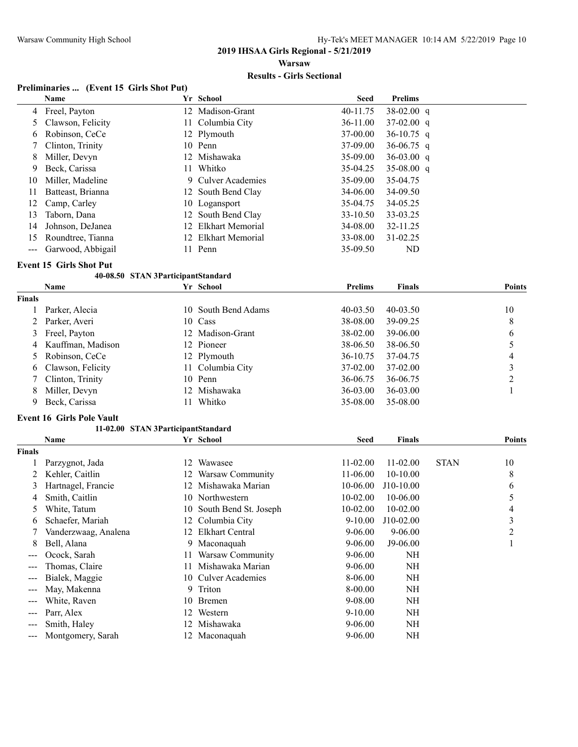#### **2019 IHSAA Girls Regional - 5/21/2019 Warsaw**

#### **Results - Girls Sectional**

#### **Preliminaries ... (Event 15 Girls Shot Put)**

|    | Name              |    | Yr School           | <b>Seed</b>  | <b>Prelims</b> |
|----|-------------------|----|---------------------|--------------|----------------|
|    | 4 Freel, Payton   |    | 12 Madison-Grant    | 40-11.75     | $38-02.00$ q   |
|    | Clawson, Felicity |    | 11 Columbia City    | $36 - 11.00$ | $37-02.00$ q   |
| 6  | Robinson, CeCe    |    | 12 Plymouth         | 37-00.00     | 36-10.75 q     |
|    | Clinton, Trinity  |    | 10 Penn             | 37-09.00     | 36-06.75 q     |
| 8  | Miller, Devyn     |    | 12 Mishawaka        | 35-09.00     | $36-03.00$ q   |
| 9. | Beck, Carissa     | 11 | Whitko              | 35-04.25     | $35-08.00$ q   |
| 10 | Miller, Madeline  |    | 9 Culver Academies  | 35-09.00     | 35-04.75       |
|    | Batteast, Brianna |    | 12 South Bend Clay  | 34-06.00     | 34-09.50       |
| 12 | Camp, Carley      |    | 10 Logansport       | 35-04.75     | 34-05.25       |
| 13 | Taborn, Dana      |    | 12 South Bend Clay  | 33-10.50     | 33-03.25       |
| 14 | Johnson, DeJanea  | 12 | Elkhart Memorial    | 34-08.00     | 32-11.25       |
| 15 | Roundtree, Tianna |    | 12 Elkhart Memorial | 33-08.00     | 31-02.25       |
|    | Garwood, Abbigail |    | Penn                | 35-09.50     | ND             |

**Event 15 Girls Shot Put**

#### **40-08.50 STAN 3ParticipantStandard**

|               | <b>Name</b>         | Yr School           | <b>Prelims</b> | <b>Finals</b> | <b>Points</b> |
|---------------|---------------------|---------------------|----------------|---------------|---------------|
| <b>Finals</b> |                     |                     |                |               |               |
|               | Parker, Alecia      | 10 South Bend Adams | $40 - 03.50$   | $40 - 03.50$  | 10            |
|               | 2 Parker, Averi     | 10 Cass             | 38-08.00       | 39-09.25      | 8             |
|               | 3 Freel, Payton     | 12 Madison-Grant    | 38-02.00       | 39-06.00      | 6             |
|               | 4 Kauffman, Madison | 12 Pioneer          | 38-06.50       | 38-06.50      |               |
|               | 5 Robinson, CeCe    | 12 Plymouth         | 36-10.75       | 37-04.75      | 4             |
|               | 6 Clawson, Felicity | 11 Columbia City    | 37-02.00       | 37-02.00      |               |
|               | 7 Clinton, Trinity  | 10 Penn             | 36-06.75       | 36-06.75      | ∍             |
|               | 8 Miller, Devyn     | 12 Mishawaka        | $36 - 03.00$   | $36 - 03.00$  |               |
| 9             | Beck, Carissa       | Whitko<br>H.        | 35-08.00       | 35-08.00      |               |

#### **Event 16 Girls Pole Vault**

#### **11-02.00 STAN 3ParticipantStandard**

|               | Name                 |     | Yr School                | <b>Seed</b>  | <b>Finals</b> |             | <b>Points</b> |
|---------------|----------------------|-----|--------------------------|--------------|---------------|-------------|---------------|
| <b>Finals</b> |                      |     |                          |              |               |             |               |
|               | Parzygnot, Jada      | 12  | Wawasee                  | $11-02.00$   | $11 - 02.00$  | <b>STAN</b> | 10            |
|               | Kehler, Caitlin      | 12. | Warsaw Community         | 11-06.00     | $10-10.00$    |             | 8             |
| 3             | Hartnagel, Francie   | 12  | Mishawaka Marian         | 10-06.00     | J10-10.00     |             | 6             |
| 4             | Smith, Caitlin       | 10- | Northwestern             | $10 - 02.00$ | 10-06.00      |             |               |
|               | White, Tatum         |     | 10 South Bend St. Joseph | 10-02.00     | $10 - 02.00$  |             | 4             |
| 6             | Schaefer, Mariah     |     | 12 Columbia City         | $9 - 10.00$  | J10-02.00     |             | 3             |
|               | Vanderzwaag, Analena | 12. | <b>Elkhart Central</b>   | $9 - 06.00$  | $9 - 06.00$   |             | 2             |
| 8             | Bell, Alana          |     | 9 Maconaquah             | $9 - 06.00$  | $J9-06.00$    |             |               |
| ---           | Ocock, Sarah         | 11  | Warsaw Community         | $9 - 06.00$  | NH            |             |               |
| ---           | Thomas, Claire       | 11  | Mishawaka Marian         | $9 - 06.00$  | NH            |             |               |
| ---           | Bialek, Maggie       | 10. | <b>Culver Academies</b>  | 8-06.00      | NH            |             |               |
| ---           | May, Makenna         | 9.  | Triton                   | 8-00.00      | <b>NH</b>     |             |               |
| ---           | White, Raven         | 10  | Bremen                   | 9-08.00      | <b>NH</b>     |             |               |
| ---           | Parr, Alex           | 12. | Western                  | $9 - 10.00$  | NH            |             |               |
| ---           | Smith, Haley         | 12. | Mishawaka                | $9 - 06.00$  | NH            |             |               |
| $---$         | Montgomery, Sarah    |     | 12 Maconaquah            | $9 - 06.00$  | NΗ            |             |               |